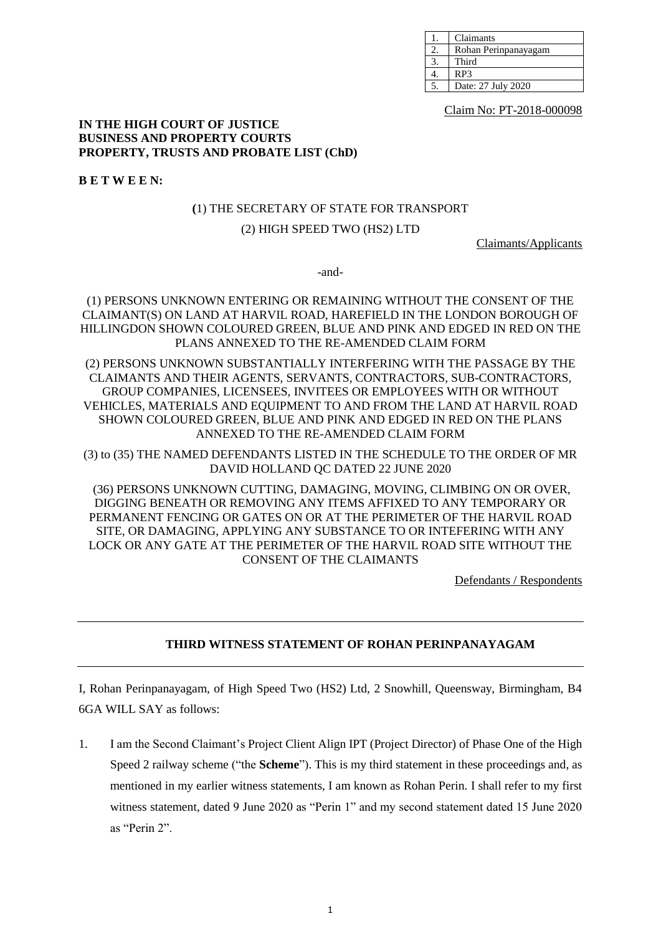| Claimants            |
|----------------------|
| Rohan Perinpanayagam |
| Third                |
| RP3                  |
| Date: 27 July 2020   |

Claim No: PT-2018-000098

#### **IN THE HIGH COURT OF JUSTICE BUSINESS AND PROPERTY COURTS PROPERTY, TRUSTS AND PROBATE LIST (ChD)**

**B E T W E E N:**

# **(**1) THE SECRETARY OF STATE FOR TRANSPORT

# (2) HIGH SPEED TWO (HS2) LTD

Claimants/Applicants

-and-

## (1) PERSONS UNKNOWN ENTERING OR REMAINING WITHOUT THE CONSENT OF THE CLAIMANT(S) ON LAND AT HARVIL ROAD, HAREFIELD IN THE LONDON BOROUGH OF HILLINGDON SHOWN COLOURED GREEN, BLUE AND PINK AND EDGED IN RED ON THE PLANS ANNEXED TO THE RE-AMENDED CLAIM FORM

(2) PERSONS UNKNOWN SUBSTANTIALLY INTERFERING WITH THE PASSAGE BY THE CLAIMANTS AND THEIR AGENTS, SERVANTS, CONTRACTORS, SUB-CONTRACTORS, GROUP COMPANIES, LICENSEES, INVITEES OR EMPLOYEES WITH OR WITHOUT VEHICLES, MATERIALS AND EQUIPMENT TO AND FROM THE LAND AT HARVIL ROAD SHOWN COLOURED GREEN, BLUE AND PINK AND EDGED IN RED ON THE PLANS ANNEXED TO THE RE-AMENDED CLAIM FORM

(3) to (35) THE NAMED DEFENDANTS LISTED IN THE SCHEDULE TO THE ORDER OF MR DAVID HOLLAND QC DATED 22 JUNE 2020

(36) PERSONS UNKNOWN CUTTING, DAMAGING, MOVING, CLIMBING ON OR OVER, DIGGING BENEATH OR REMOVING ANY ITEMS AFFIXED TO ANY TEMPORARY OR PERMANENT FENCING OR GATES ON OR AT THE PERIMETER OF THE HARVIL ROAD SITE, OR DAMAGING, APPLYING ANY SUBSTANCE TO OR INTEFERING WITH ANY LOCK OR ANY GATE AT THE PERIMETER OF THE HARVIL ROAD SITE WITHOUT THE CONSENT OF THE CLAIMANTS

Defendants / Respondents

# **THIRD WITNESS STATEMENT OF ROHAN PERINPANAYAGAM**

I, Rohan Perinpanayagam, of High Speed Two (HS2) Ltd, 2 Snowhill, Queensway, Birmingham, B4 6GA WILL SAY as follows:

1. I am the Second Claimant's Project Client Align IPT (Project Director) of Phase One of the High Speed 2 railway scheme ("the **Scheme**"). This is my third statement in these proceedings and, as mentioned in my earlier witness statements, I am known as Rohan Perin. I shall refer to my first witness statement, dated 9 June 2020 as "Perin 1" and my second statement dated 15 June 2020 as "Perin 2".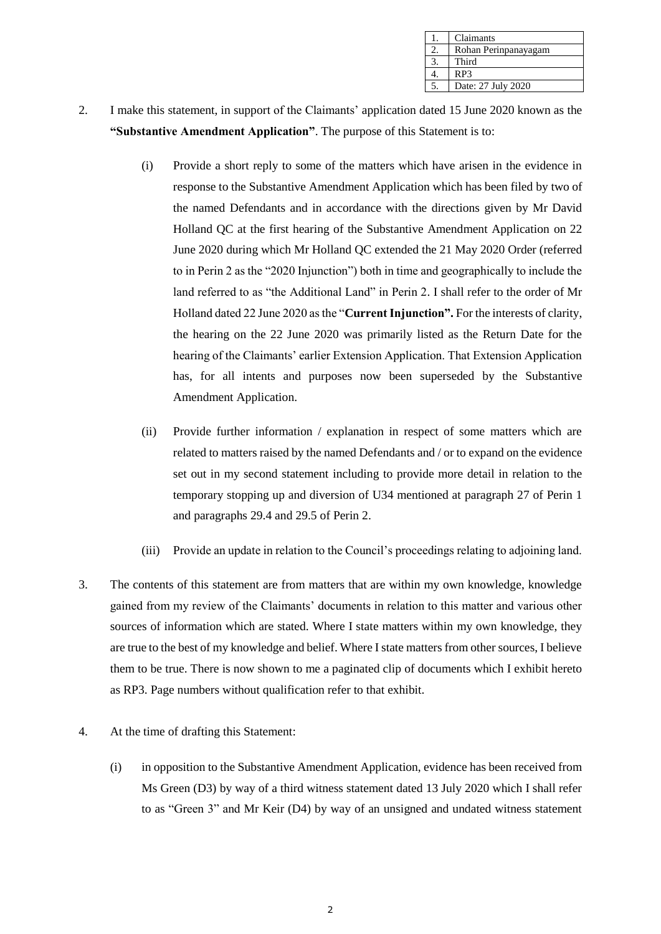| Claimants            |
|----------------------|
| Rohan Perinpanayagam |
| Third                |
| RP3                  |
| Date: 27 July 2020   |

- 2. I make this statement, in support of the Claimants' application dated 15 June 2020 known as the **"Substantive Amendment Application"**. The purpose of this Statement is to:
	- (i) Provide a short reply to some of the matters which have arisen in the evidence in response to the Substantive Amendment Application which has been filed by two of the named Defendants and in accordance with the directions given by Mr David Holland QC at the first hearing of the Substantive Amendment Application on 22 June 2020 during which Mr Holland QC extended the 21 May 2020 Order (referred to in Perin 2 as the "2020 Injunction") both in time and geographically to include the land referred to as "the Additional Land" in Perin 2. I shall refer to the order of Mr Holland dated 22 June 2020 as the "**Current Injunction".** For the interests of clarity, the hearing on the 22 June 2020 was primarily listed as the Return Date for the hearing of the Claimants' earlier Extension Application. That Extension Application has, for all intents and purposes now been superseded by the Substantive Amendment Application.
	- (ii) Provide further information / explanation in respect of some matters which are related to matters raised by the named Defendants and / or to expand on the evidence set out in my second statement including to provide more detail in relation to the temporary stopping up and diversion of U34 mentioned at paragraph 27 of Perin 1 and paragraphs 29.4 and 29.5 of Perin 2.
	- (iii) Provide an update in relation to the Council's proceedings relating to adjoining land.
- 3. The contents of this statement are from matters that are within my own knowledge, knowledge gained from my review of the Claimants' documents in relation to this matter and various other sources of information which are stated. Where I state matters within my own knowledge, they are true to the best of my knowledge and belief. Where I state matters from other sources, I believe them to be true. There is now shown to me a paginated clip of documents which I exhibit hereto as RP3. Page numbers without qualification refer to that exhibit.
- 4. At the time of drafting this Statement:
	- (i) in opposition to the Substantive Amendment Application, evidence has been received from Ms Green (D3) by way of a third witness statement dated 13 July 2020 which I shall refer to as "Green 3" and Mr Keir (D4) by way of an unsigned and undated witness statement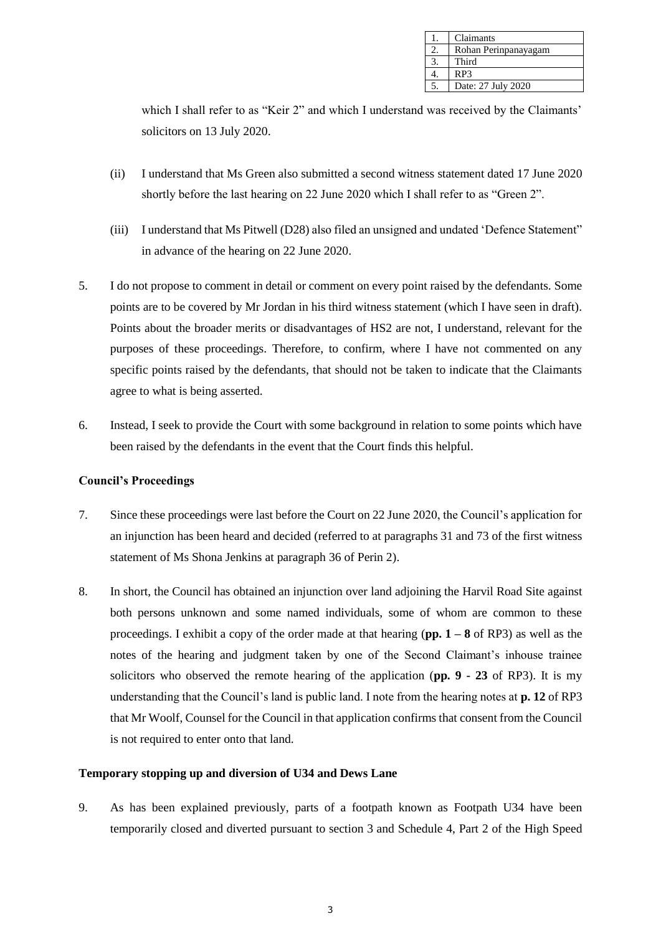| Claimants            |
|----------------------|
| Rohan Perinpanayagam |
| Third                |
| RP3                  |
| Date: 27 July 2020   |

which I shall refer to as "Keir 2" and which I understand was received by the Claimants' solicitors on 13 July 2020.

- (ii) I understand that Ms Green also submitted a second witness statement dated 17 June 2020 shortly before the last hearing on 22 June 2020 which I shall refer to as "Green 2".
- (iii) I understand that Ms Pitwell (D28) also filed an unsigned and undated 'Defence Statement" in advance of the hearing on 22 June 2020.
- 5. I do not propose to comment in detail or comment on every point raised by the defendants. Some points are to be covered by Mr Jordan in his third witness statement (which I have seen in draft). Points about the broader merits or disadvantages of HS2 are not, I understand, relevant for the purposes of these proceedings. Therefore, to confirm, where I have not commented on any specific points raised by the defendants, that should not be taken to indicate that the Claimants agree to what is being asserted.
- 6. Instead, I seek to provide the Court with some background in relation to some points which have been raised by the defendants in the event that the Court finds this helpful.

#### **Council's Proceedings**

- 7. Since these proceedings were last before the Court on 22 June 2020, the Council's application for an injunction has been heard and decided (referred to at paragraphs 31 and 73 of the first witness statement of Ms Shona Jenkins at paragraph 36 of Perin 2).
- 8. In short, the Council has obtained an injunction over land adjoining the Harvil Road Site against both persons unknown and some named individuals, some of whom are common to these proceedings. I exhibit a copy of the order made at that hearing (**pp. 1 – 8** of RP3) as well as the notes of the hearing and judgment taken by one of the Second Claimant's inhouse trainee solicitors who observed the remote hearing of the application (**pp. 9 - 23** of RP3). It is my understanding that the Council's land is public land. I note from the hearing notes at **p. 12** of RP3 that Mr Woolf, Counsel for the Council in that application confirms that consent from the Council is not required to enter onto that land.

## **Temporary stopping up and diversion of U34 and Dews Lane**

9. As has been explained previously, parts of a footpath known as Footpath U34 have been temporarily closed and diverted pursuant to section 3 and Schedule 4, Part 2 of the High Speed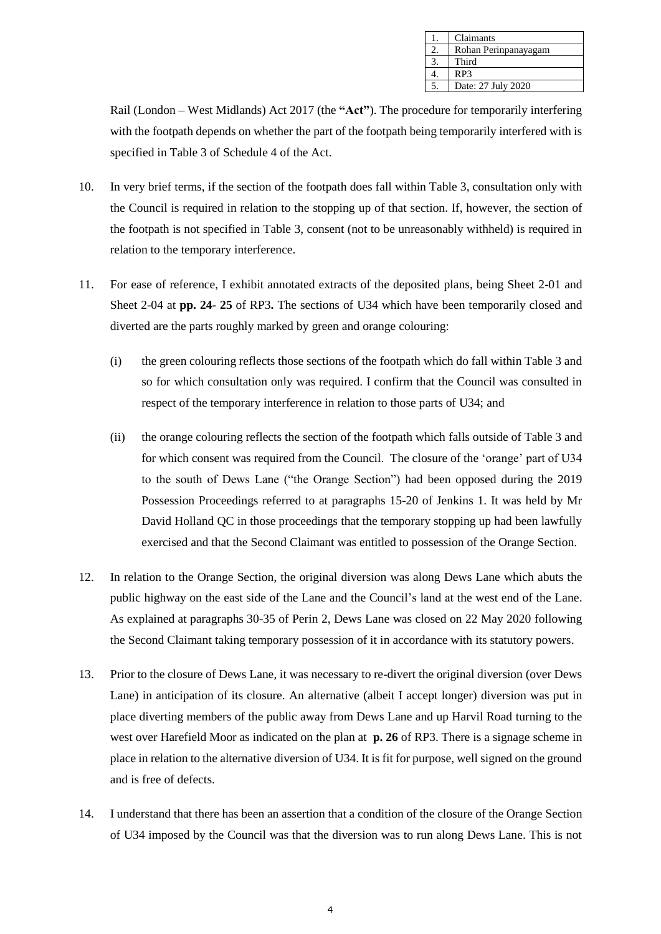| Claimants            |
|----------------------|
| Rohan Perinpanayagam |
| Third                |
| RP3                  |
| Date: 27 July 2020   |

Rail (London – West Midlands) Act 2017 (the **"Act"**). The procedure for temporarily interfering with the footpath depends on whether the part of the footpath being temporarily interfered with is specified in Table 3 of Schedule 4 of the Act.

- 10. In very brief terms, if the section of the footpath does fall within Table 3, consultation only with the Council is required in relation to the stopping up of that section. If, however, the section of the footpath is not specified in Table 3, consent (not to be unreasonably withheld) is required in relation to the temporary interference.
- 11. For ease of reference, I exhibit annotated extracts of the deposited plans, being Sheet 2-01 and Sheet 2-04 at **pp. 24- 25** of RP3**.** The sections of U34 which have been temporarily closed and diverted are the parts roughly marked by green and orange colouring:
	- (i) the green colouring reflects those sections of the footpath which do fall within Table 3 and so for which consultation only was required. I confirm that the Council was consulted in respect of the temporary interference in relation to those parts of U34; and
	- (ii) the orange colouring reflects the section of the footpath which falls outside of Table 3 and for which consent was required from the Council. The closure of the 'orange' part of U34 to the south of Dews Lane ("the Orange Section") had been opposed during the 2019 Possession Proceedings referred to at paragraphs 15-20 of Jenkins 1. It was held by Mr David Holland QC in those proceedings that the temporary stopping up had been lawfully exercised and that the Second Claimant was entitled to possession of the Orange Section.
- 12. In relation to the Orange Section, the original diversion was along Dews Lane which abuts the public highway on the east side of the Lane and the Council's land at the west end of the Lane. As explained at paragraphs 30-35 of Perin 2, Dews Lane was closed on 22 May 2020 following the Second Claimant taking temporary possession of it in accordance with its statutory powers.
- 13. Prior to the closure of Dews Lane, it was necessary to re-divert the original diversion (over Dews Lane) in anticipation of its closure. An alternative (albeit I accept longer) diversion was put in place diverting members of the public away from Dews Lane and up Harvil Road turning to the west over Harefield Moor as indicated on the plan at **p. 26** of RP3. There is a signage scheme in place in relation to the alternative diversion of U34. It is fit for purpose, well signed on the ground and is free of defects.
- 14. I understand that there has been an assertion that a condition of the closure of the Orange Section of U34 imposed by the Council was that the diversion was to run along Dews Lane. This is not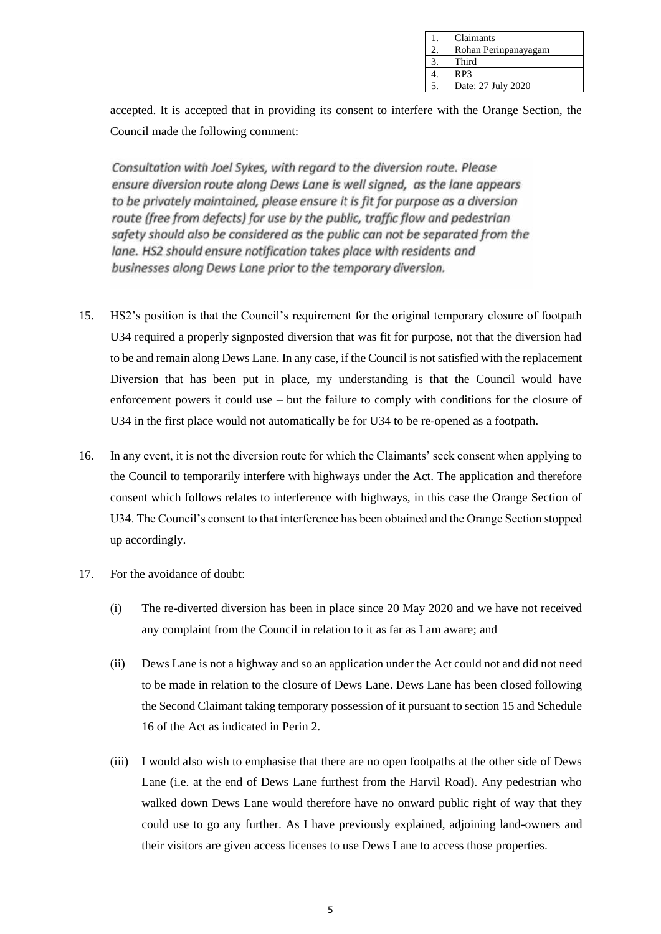| Claimants            |
|----------------------|
| Rohan Perinpanayagam |
| Third                |
| RP3                  |
| Date: 27 July 2020   |

accepted. It is accepted that in providing its consent to interfere with the Orange Section, the Council made the following comment:

Consultation with Joel Sykes, with regard to the diversion route. Please ensure diversion route along Dews Lane is well signed, as the lane appears to be privately maintained, please ensure it is fit for purpose as a diversion route (free from defects) for use by the public, traffic flow and pedestrian safety should also be considered as the public can not be separated from the lane. HS2 should ensure notification takes place with residents and businesses along Dews Lane prior to the temporary diversion.

- 15. HS2's position is that the Council's requirement for the original temporary closure of footpath U34 required a properly signposted diversion that was fit for purpose, not that the diversion had to be and remain along Dews Lane. In any case, if the Council is not satisfied with the replacement Diversion that has been put in place, my understanding is that the Council would have enforcement powers it could use – but the failure to comply with conditions for the closure of U34 in the first place would not automatically be for U34 to be re-opened as a footpath.
- 16. In any event, it is not the diversion route for which the Claimants' seek consent when applying to the Council to temporarily interfere with highways under the Act. The application and therefore consent which follows relates to interference with highways, in this case the Orange Section of U34. The Council's consent to that interference has been obtained and the Orange Section stopped up accordingly.
- 17. For the avoidance of doubt:
	- (i) The re-diverted diversion has been in place since 20 May 2020 and we have not received any complaint from the Council in relation to it as far as I am aware; and
	- (ii) Dews Lane is not a highway and so an application under the Act could not and did not need to be made in relation to the closure of Dews Lane. Dews Lane has been closed following the Second Claimant taking temporary possession of it pursuant to section 15 and Schedule 16 of the Act as indicated in Perin 2.
	- (iii) I would also wish to emphasise that there are no open footpaths at the other side of Dews Lane (i.e. at the end of Dews Lane furthest from the Harvil Road). Any pedestrian who walked down Dews Lane would therefore have no onward public right of way that they could use to go any further. As I have previously explained, adjoining land-owners and their visitors are given access licenses to use Dews Lane to access those properties.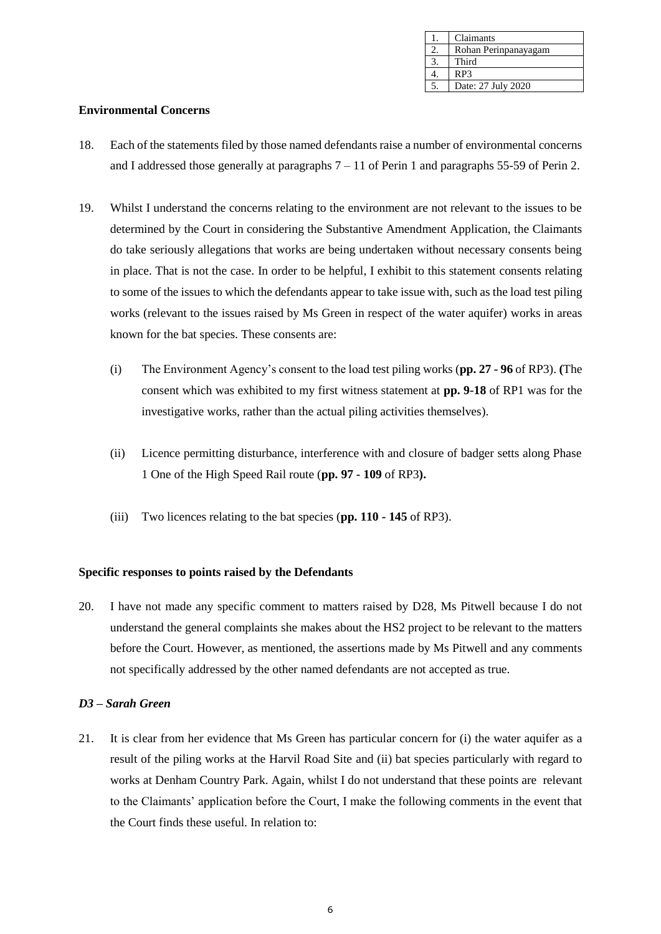| Claimants            |
|----------------------|
| Rohan Perinpanayagam |
| Third                |
| RP3                  |
| Date: 27 July 2020   |

#### **Environmental Concerns**

- 18. Each of the statements filed by those named defendants raise a number of environmental concerns and I addressed those generally at paragraphs  $7 - 11$  of Perin 1 and paragraphs 55-59 of Perin 2.
- 19. Whilst I understand the concerns relating to the environment are not relevant to the issues to be determined by the Court in considering the Substantive Amendment Application, the Claimants do take seriously allegations that works are being undertaken without necessary consents being in place. That is not the case. In order to be helpful, I exhibit to this statement consents relating to some of the issues to which the defendants appear to take issue with, such as the load test piling works (relevant to the issues raised by Ms Green in respect of the water aquifer) works in areas known for the bat species. These consents are:
	- (i) The Environment Agency's consent to the load test piling works (**pp. 27 - 96** of RP3). **(**The consent which was exhibited to my first witness statement at **pp. 9-18** of RP1 was for the investigative works, rather than the actual piling activities themselves).
	- (ii) Licence permitting disturbance, interference with and closure of badger setts along Phase 1 One of the High Speed Rail route (**pp. 97 - 109** of RP3**).**
	- (iii) Two licences relating to the bat species (**pp. 110 - 145** of RP3).

#### **Specific responses to points raised by the Defendants**

20. I have not made any specific comment to matters raised by D28, Ms Pitwell because I do not understand the general complaints she makes about the HS2 project to be relevant to the matters before the Court. However, as mentioned, the assertions made by Ms Pitwell and any comments not specifically addressed by the other named defendants are not accepted as true.

#### *D3 – Sarah Green*

21. It is clear from her evidence that Ms Green has particular concern for (i) the water aquifer as a result of the piling works at the Harvil Road Site and (ii) bat species particularly with regard to works at Denham Country Park. Again, whilst I do not understand that these points are relevant to the Claimants' application before the Court, I make the following comments in the event that the Court finds these useful. In relation to: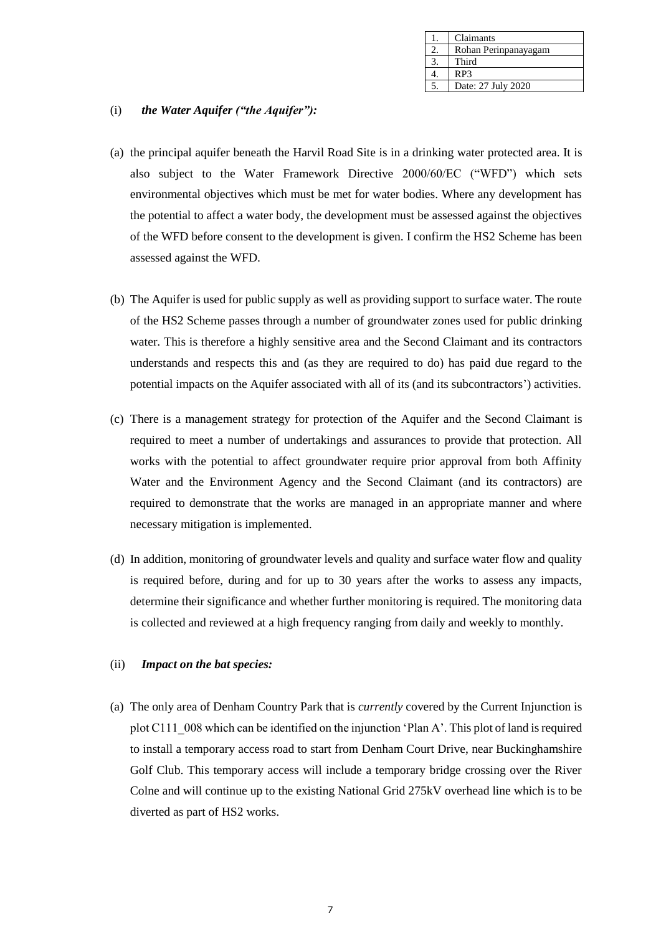| Claimants            |
|----------------------|
| Rohan Perinpanayagam |
| Third                |
| RP3                  |
| Date: 27 July 2020   |

## (i) *the Water Aquifer ("the Aquifer"):*

- (a) the principal aquifer beneath the Harvil Road Site is in a drinking water protected area. It is also subject to the Water Framework Directive 2000/60/EC ("WFD") which sets environmental objectives which must be met for water bodies. Where any development has the potential to affect a water body, the development must be assessed against the objectives of the WFD before consent to the development is given. I confirm the HS2 Scheme has been assessed against the WFD.
- (b) The Aquifer is used for public supply as well as providing support to surface water. The route of the HS2 Scheme passes through a number of groundwater zones used for public drinking water. This is therefore a highly sensitive area and the Second Claimant and its contractors understands and respects this and (as they are required to do) has paid due regard to the potential impacts on the Aquifer associated with all of its (and its subcontractors') activities.
- (c) There is a management strategy for protection of the Aquifer and the Second Claimant is required to meet a number of undertakings and assurances to provide that protection. All works with the potential to affect groundwater require prior approval from both Affinity Water and the Environment Agency and the Second Claimant (and its contractors) are required to demonstrate that the works are managed in an appropriate manner and where necessary mitigation is implemented.
- (d) In addition, monitoring of groundwater levels and quality and surface water flow and quality is required before, during and for up to 30 years after the works to assess any impacts, determine their significance and whether further monitoring is required. The monitoring data is collected and reviewed at a high frequency ranging from daily and weekly to monthly.

#### (ii) *Impact on the bat species:*

(a) The only area of Denham Country Park that is *currently* covered by the Current Injunction is plot C111\_008 which can be identified on the injunction 'Plan A'. This plot of land is required to install a temporary access road to start from Denham Court Drive, near Buckinghamshire Golf Club. This temporary access will include a temporary bridge crossing over the River Colne and will continue up to the existing National Grid 275kV overhead line which is to be diverted as part of HS2 works.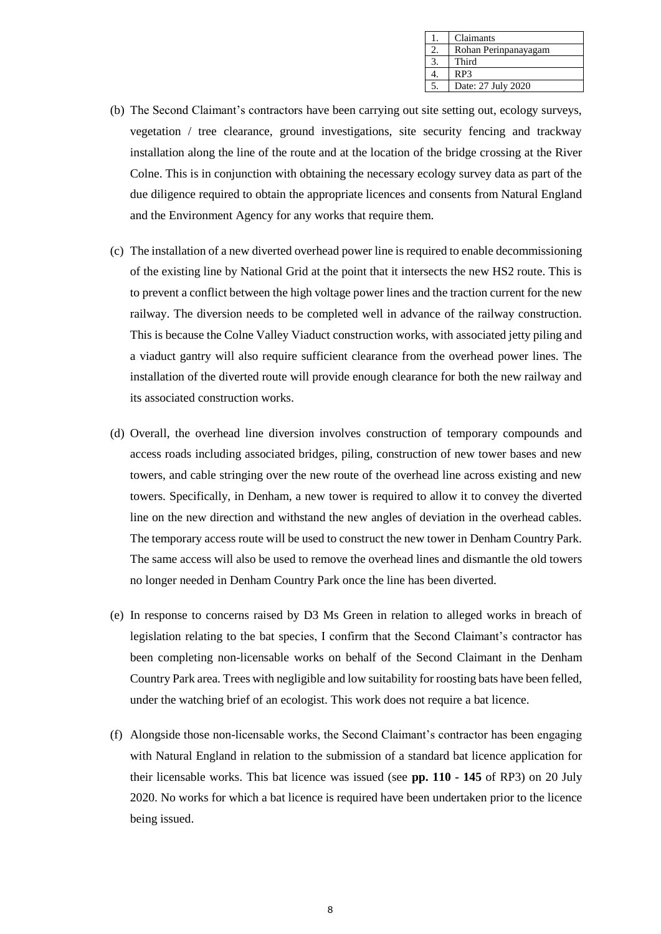| Claimants            |
|----------------------|
| Rohan Perinpanayagam |
| Third                |
| RP3                  |
| Date: 27 July 2020   |

- (b) The Second Claimant's contractors have been carrying out site setting out, ecology surveys, vegetation / tree clearance, ground investigations, site security fencing and trackway installation along the line of the route and at the location of the bridge crossing at the River Colne. This is in conjunction with obtaining the necessary ecology survey data as part of the due diligence required to obtain the appropriate licences and consents from Natural England and the Environment Agency for any works that require them.
- (c) The installation of a new diverted overhead power line is required to enable decommissioning of the existing line by National Grid at the point that it intersects the new HS2 route. This is to prevent a conflict between the high voltage power lines and the traction current for the new railway. The diversion needs to be completed well in advance of the railway construction. This is because the Colne Valley Viaduct construction works, with associated jetty piling and a viaduct gantry will also require sufficient clearance from the overhead power lines. The installation of the diverted route will provide enough clearance for both the new railway and its associated construction works.
- (d) Overall, the overhead line diversion involves construction of temporary compounds and access roads including associated bridges, piling, construction of new tower bases and new towers, and cable stringing over the new route of the overhead line across existing and new towers. Specifically, in Denham, a new tower is required to allow it to convey the diverted line on the new direction and withstand the new angles of deviation in the overhead cables. The temporary access route will be used to construct the new tower in Denham Country Park. The same access will also be used to remove the overhead lines and dismantle the old towers no longer needed in Denham Country Park once the line has been diverted.
- (e) In response to concerns raised by D3 Ms Green in relation to alleged works in breach of legislation relating to the bat species, I confirm that the Second Claimant's contractor has been completing non-licensable works on behalf of the Second Claimant in the Denham Country Park area. Trees with negligible and low suitability for roosting bats have been felled, under the watching brief of an ecologist. This work does not require a bat licence.
- (f) Alongside those non-licensable works, the Second Claimant's contractor has been engaging with Natural England in relation to the submission of a standard bat licence application for their licensable works. This bat licence was issued (see **pp. 110 - 145** of RP3) on 20 July 2020. No works for which a bat licence is required have been undertaken prior to the licence being issued.